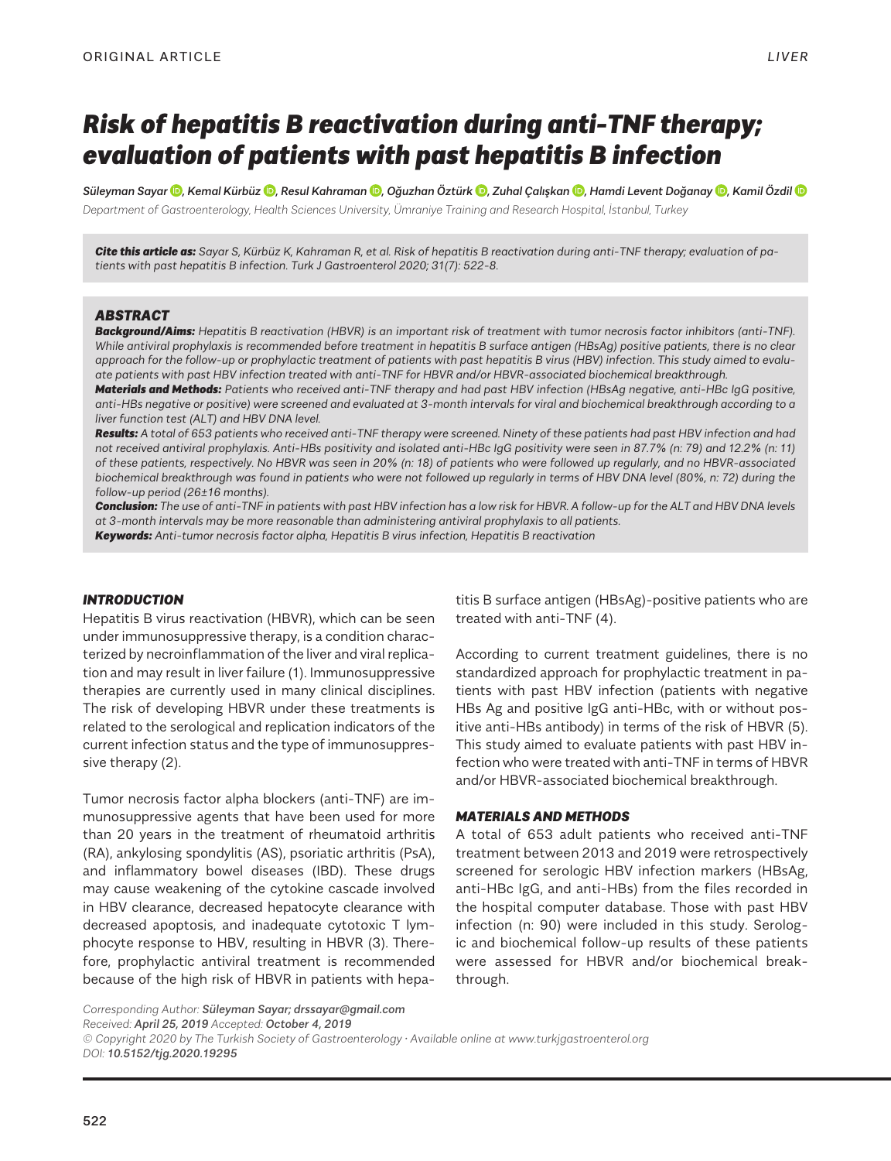# *Risk of hepatitis B reactivation during anti-TNF therapy; evaluation of patients with past hepatitis B infection*

*Süleyman Saya[r ,](http://orcid.org/0000-0001-7089-6082) Kemal Kürbü[z ,](https://orcid.org/0000-0001-9602-0644) Resul Kahrama[n ,](https://orcid.org/0000-0001-5534-0860) Oğuzhan Öztür[k ,](https://orcid.org/0000-0003-3085-4528) Zuhal Çalışkan [,](https://orcid.org/0000-0001-7703-3714) Hamdi Levent Doğana[y ,](https://orcid.org/0000-0002-2263-6689) Kamil Özdil*

*Department of Gastroenterology, Health Sciences University, Ümraniye Training and Research Hospital, İstanbul, Turkey*

*Cite this article as: Sayar S, Kürbüz K, Kahraman R, et al. Risk of hepatitis B reactivation during anti-TNF therapy; evaluation of patients with past hepatitis B infection. Turk J Gastroenterol 2020; 31(7): 522-8.*

#### *ABSTRACT*

*Background/Aims: Hepatitis B reactivation (HBVR) is an important risk of treatment with tumor necrosis factor inhibitors (anti-TNF).*  While antiviral prophylaxis is recommended before treatment in hepatitis B surface antigen (HBsAg) positive patients, there is no clear *approach for the follow-up or prophylactic treatment of patients with past hepatitis B virus (HBV) infection. This study aimed to evaluate patients with past HBV infection treated with anti-TNF for HBVR and/or HBVR-associated biochemical breakthrough.*

*Materials and Methods: Patients who received anti-TNF therapy and had past HBV infection (HBsAg negative, anti-HBc IgG positive, anti-HBs negative or positive) were screened and evaluated at 3-month intervals for viral and biochemical breakthrough according to a liver function test (ALT) and HBV DNA level.*

*Results: A total of 653 patients who received anti-TNF therapy were screened. Ninety of these patients had past HBV infection and had not received antiviral prophylaxis. Anti-HBs positivity and isolated anti-HBc IgG positivity were seen in 87.7% (n: 79) and 12.2% (n: 11) of these patients, respectively. No HBVR was seen in 20% (n: 18) of patients who were followed up regularly, and no HBVR-associated biochemical breakthrough was found in patients who were not followed up regularly in terms of HBV DNA level (80%, n: 72) during the follow-up period (26±16 months).*

*Conclusion: The use of anti-TNF in patients with past HBV infection has a low risk for HBVR. A follow-up for the ALT and HBV DNA levels at 3-month intervals may be more reasonable than administering antiviral prophylaxis to all patients.*

*Keywords: Anti-tumor necrosis factor alpha, Hepatitis B virus infection, Hepatitis B reactivation*

#### *INTRODUCTION*

Hepatitis B virus reactivation (HBVR), which can be seen under immunosuppressive therapy, is a condition characterized by necroinflammation of the liver and viral replication and may result in liver failure (1). Immunosuppressive therapies are currently used in many clinical disciplines. The risk of developing HBVR under these treatments is related to the serological and replication indicators of the current infection status and the type of immunosuppressive therapy (2).

Tumor necrosis factor alpha blockers (anti-TNF) are immunosuppressive agents that have been used for more than 20 years in the treatment of rheumatoid arthritis (RA), ankylosing spondylitis (AS), psoriatic arthritis (PsA), and inflammatory bowel diseases (IBD). These drugs may cause weakening of the cytokine cascade involved in HBV clearance, decreased hepatocyte clearance with decreased apoptosis, and inadequate cytotoxic T lymphocyte response to HBV, resulting in HBVR (3). Therefore, prophylactic antiviral treatment is recommended because of the high risk of HBVR in patients with hepa-

titis B surface antigen (HBsAg)-positive patients who are treated with anti-TNF (4).

According to current treatment guidelines, there is no standardized approach for prophylactic treatment in patients with past HBV infection (patients with negative HBs Ag and positive IgG anti-HBc, with or without positive anti-HBs antibody) in terms of the risk of HBVR (5). This study aimed to evaluate patients with past HBV infection who were treated with anti-TNF in terms of HBVR and/or HBVR-associated biochemical breakthrough.

#### *MATERIALS AND METHODS*

A total of 653 adult patients who received anti-TNF treatment between 2013 and 2019 were retrospectively screened for serologic HBV infection markers (HBsAg, anti-HBc IgG, and anti-HBs) from the files recorded in the hospital computer database. Those with past HBV infection (n: 90) were included in this study. Serologic and biochemical follow-up results of these patients were assessed for HBVR and/or biochemical breakthrough.

*Corresponding Author: Süleyman Sayar; drssayar@gmail.com* 

*Received: April 25, 2019 Accepted: October 4, 2019*

*© Copyright 2020 by The Turkish Society of Gastroenterology • Available online at www.turkjgastroenterol.org DOI: 10.5152/tjg.2020.19295*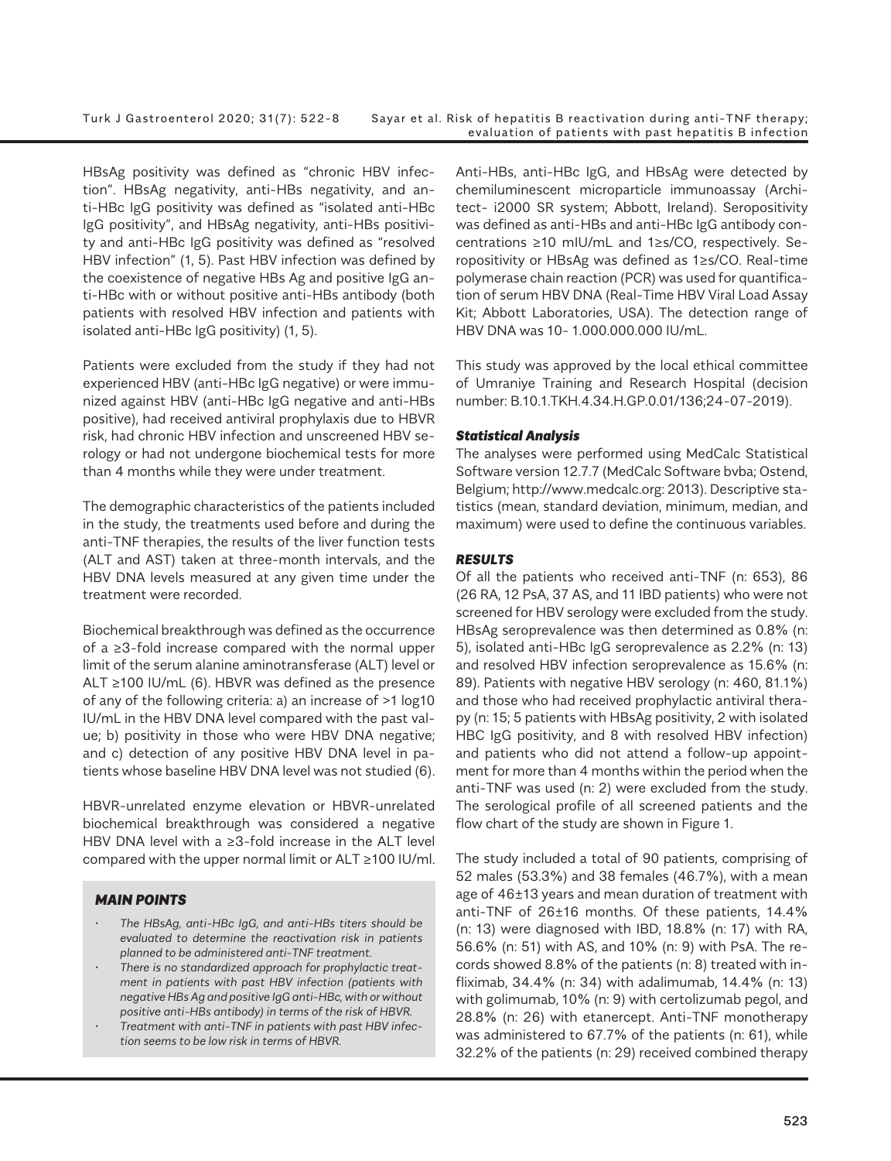HBsAg positivity was defined as "chronic HBV infection". HBsAg negativity, anti-HBs negativity, and anti-HBc IgG positivity was defined as "isolated anti-HBc IgG positivity", and HBsAg negativity, anti-HBs positivity and anti-HBc IgG positivity was defined as "resolved HBV infection" (1, 5). Past HBV infection was defined by the coexistence of negative HBs Ag and positive IgG anti-HBc with or without positive anti-HBs antibody (both patients with resolved HBV infection and patients with isolated anti-HBc IgG positivity) (1, 5).

Patients were excluded from the study if they had not experienced HBV (anti-HBc IgG negative) or were immunized against HBV (anti-HBc IgG negative and anti-HBs positive), had received antiviral prophylaxis due to HBVR risk, had chronic HBV infection and unscreened HBV serology or had not undergone biochemical tests for more than 4 months while they were under treatment.

The demographic characteristics of the patients included in the study, the treatments used before and during the anti-TNF therapies, the results of the liver function tests (ALT and AST) taken at three-month intervals, and the HBV DNA levels measured at any given time under the treatment were recorded.

Biochemical breakthrough was defined as the occurrence of a ≥3-fold increase compared with the normal upper limit of the serum alanine aminotransferase (ALT) level or ALT ≥100 IU/mL (6). HBVR was defined as the presence of any of the following criteria: a) an increase of >1 log10 IU/mL in the HBV DNA level compared with the past value; b) positivity in those who were HBV DNA negative; and c) detection of any positive HBV DNA level in patients whose baseline HBV DNA level was not studied (6).

HBVR-unrelated enzyme elevation or HBVR-unrelated biochemical breakthrough was considered a negative HBV DNA level with a ≥3-fold increase in the ALT level compared with the upper normal limit or ALT ≥100 IU/ml.

## *MAIN POINTS*

- *• The HBsAg, anti-HBc IgG, and anti-HBs titers should be evaluated to determine the reactivation risk in patients planned to be administered anti-TNF treatment.*
- *• There is no standardized approach for prophylactic treatment in patients with past HBV infection (patients with negative HBs Ag and positive IgG anti-HBc, with or without positive anti-HBs antibody) in terms of the risk of HBVR.*
- *• Treatment with anti-TNF in patients with past HBV infection seems to be low risk in terms of HBVR.*

Anti-HBs, anti-HBc IgG, and HBsAg were detected by chemiluminescent microparticle immunoassay (Architect- i2000 SR system; Abbott, Ireland). Seropositivity was defined as anti-HBs and anti-HBc IgG antibody concentrations ≥10 mIU/mL and 1≥s/CO, respectively. Seropositivity or HBsAg was defined as 1≥s/CO. Real-time polymerase chain reaction (PCR) was used for quantification of serum HBV DNA (Real-Time HBV Viral Load Assay Kit; Abbott Laboratories, USA). The detection range of HBV DNA was 10- 1.000.000.000 IU/mL.

This study was approved by the local ethical committee of Umraniye Training and Research Hospital (decision number: B.10.1.TKH.4.34.H.GP.0.01/136;24-07-2019).

# *Statistical Analysis*

The analyses were performed using MedCalc Statistical Software version 12.7.7 (MedCalc Software bvba; Ostend, Belgium; http://www.medcalc.org: 2013). Descriptive statistics (mean, standard deviation, minimum, median, and maximum) were used to define the continuous variables.

# *RESULTS*

Of all the patients who received anti-TNF (n: 653), 86 (26 RA, 12 PsA, 37 AS, and 11 IBD patients) who were not screened for HBV serology were excluded from the study. HBsAg seroprevalence was then determined as 0.8% (n: 5), isolated anti-HBc IgG seroprevalence as 2.2% (n: 13) and resolved HBV infection seroprevalence as 15.6% (n: 89). Patients with negative HBV serology (n: 460, 81.1%) and those who had received prophylactic antiviral therapy (n: 15; 5 patients with HBsAg positivity, 2 with isolated HBC IgG positivity, and 8 with resolved HBV infection) and patients who did not attend a follow-up appointment for more than 4 months within the period when the anti-TNF was used (n: 2) were excluded from the study. The serological profile of all screened patients and the flow chart of the study are shown in Figure 1.

The study included a total of 90 patients, comprising of 52 males (53.3%) and 38 females (46.7%), with a mean age of 46±13 years and mean duration of treatment with anti-TNF of 26±16 months. Of these patients, 14.4% (n: 13) were diagnosed with IBD, 18.8% (n: 17) with RA, 56.6% (n: 51) with AS, and 10% (n: 9) with PsA. The records showed 8.8% of the patients (n: 8) treated with infliximab, 34.4% (n: 34) with adalimumab, 14.4% (n: 13) with golimumab, 10% (n: 9) with certolizumab pegol, and 28.8% (n: 26) with etanercept. Anti-TNF monotherapy was administered to 67.7% of the patients (n: 61), while 32.2% of the patients (n: 29) received combined therapy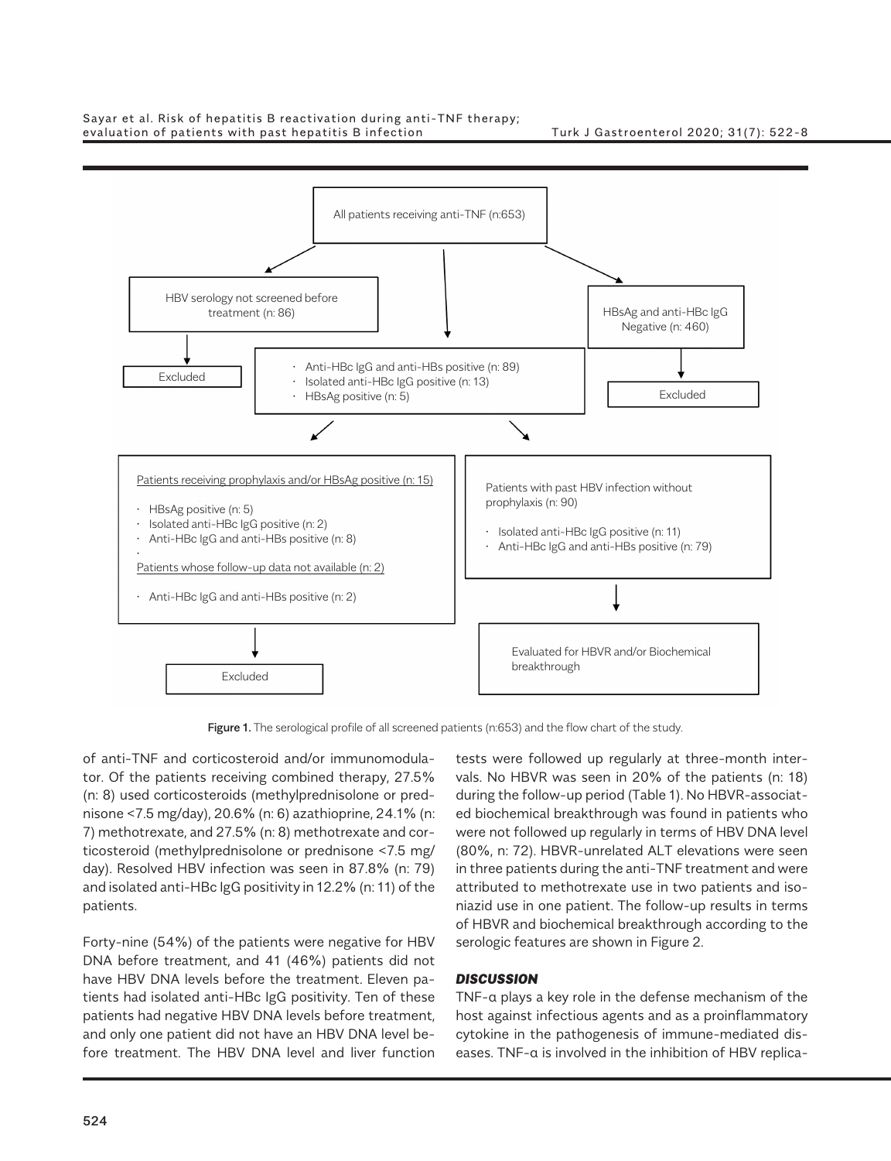Sayar et al. Risk of hepatitis B reactivation during anti-TNF therapy; evaluation of patients with past hepatitis B infection Turk J Gastroenterol 2020; 31(7): 522-8



Figure 1. The serological profile of all screened patients (n:653) and the flow chart of the study.

of anti-TNF and corticosteroid and/or immunomodulator. Of the patients receiving combined therapy, 27.5% (n: 8) used corticosteroids (methylprednisolone or prednisone <7.5 mg/day), 20.6% (n: 6) azathioprine, 24.1% (n: 7) methotrexate, and 27.5% (n: 8) methotrexate and corticosteroid (methylprednisolone or prednisone <7.5 mg/ day). Resolved HBV infection was seen in 87.8% (n: 79) and isolated anti-HBc IgG positivity in 12.2% (n: 11) of the patients.

Forty-nine (54%) of the patients were negative for HBV DNA before treatment, and 41 (46%) patients did not have HBV DNA levels before the treatment. Eleven patients had isolated anti-HBc IgG positivity. Ten of these patients had negative HBV DNA levels before treatment, and only one patient did not have an HBV DNA level before treatment. The HBV DNA level and liver function

tests were followed up regularly at three-month intervals. No HBVR was seen in 20% of the patients (n: 18) during the follow-up period (Table 1). No HBVR-associated biochemical breakthrough was found in patients who were not followed up regularly in terms of HBV DNA level (80%, n: 72). HBVR-unrelated ALT elevations were seen in three patients during the anti-TNF treatment and were attributed to methotrexate use in two patients and isoniazid use in one patient. The follow-up results in terms of HBVR and biochemical breakthrough according to the serologic features are shown in Figure 2.

## *DISCUSSION*

TNF-α plays a key role in the defense mechanism of the host against infectious agents and as a proinflammatory cytokine in the pathogenesis of immune-mediated diseases. TNF-α is involved in the inhibition of HBV replica-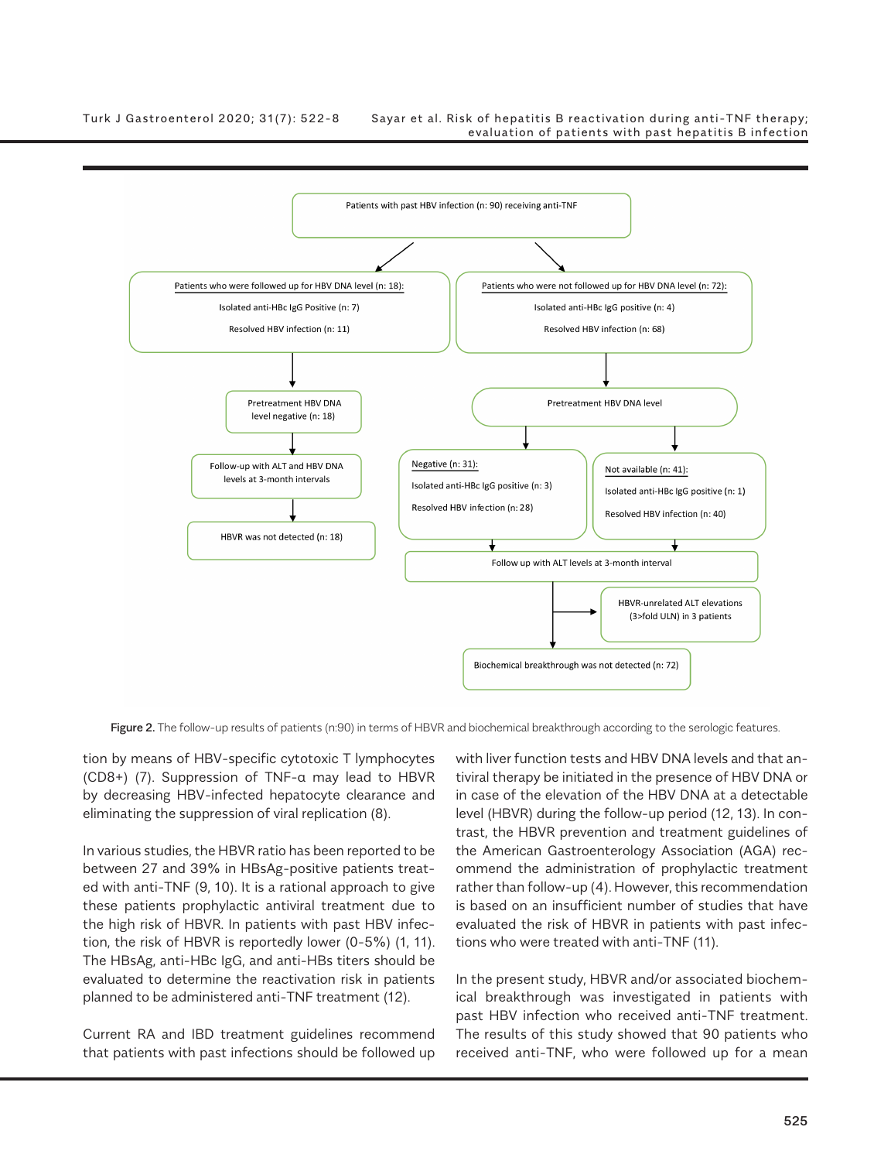

Figure 2. The follow-up results of patients (n:90) in terms of HBVR and biochemical breakthrough according to the serologic features.

tion by means of HBV-specific cytotoxic T lymphocytes (CD8+) (7). Suppression of TNF-α may lead to HBVR by decreasing HBV-infected hepatocyte clearance and eliminating the suppression of viral replication (8).

In various studies, the HBVR ratio has been reported to be between 27 and 39% in HBsAg-positive patients treated with anti-TNF (9, 10). It is a rational approach to give these patients prophylactic antiviral treatment due to the high risk of HBVR. In patients with past HBV infection, the risk of HBVR is reportedly lower (0-5%) (1, 11). The HBsAg, anti-HBc IgG, and anti-HBs titers should be evaluated to determine the reactivation risk in patients planned to be administered anti-TNF treatment (12).

Current RA and IBD treatment guidelines recommend that patients with past infections should be followed up

with liver function tests and HBV DNA levels and that antiviral therapy be initiated in the presence of HBV DNA or in case of the elevation of the HBV DNA at a detectable level (HBVR) during the follow-up period (12, 13). In contrast, the HBVR prevention and treatment guidelines of the American Gastroenterology Association (AGA) recommend the administration of prophylactic treatment rather than follow-up (4). However, this recommendation is based on an insufficient number of studies that have evaluated the risk of HBVR in patients with past infections who were treated with anti-TNF (11).

In the present study, HBVR and/or associated biochemical breakthrough was investigated in patients with past HBV infection who received anti-TNF treatment. The results of this study showed that 90 patients who received anti-TNF, who were followed up for a mean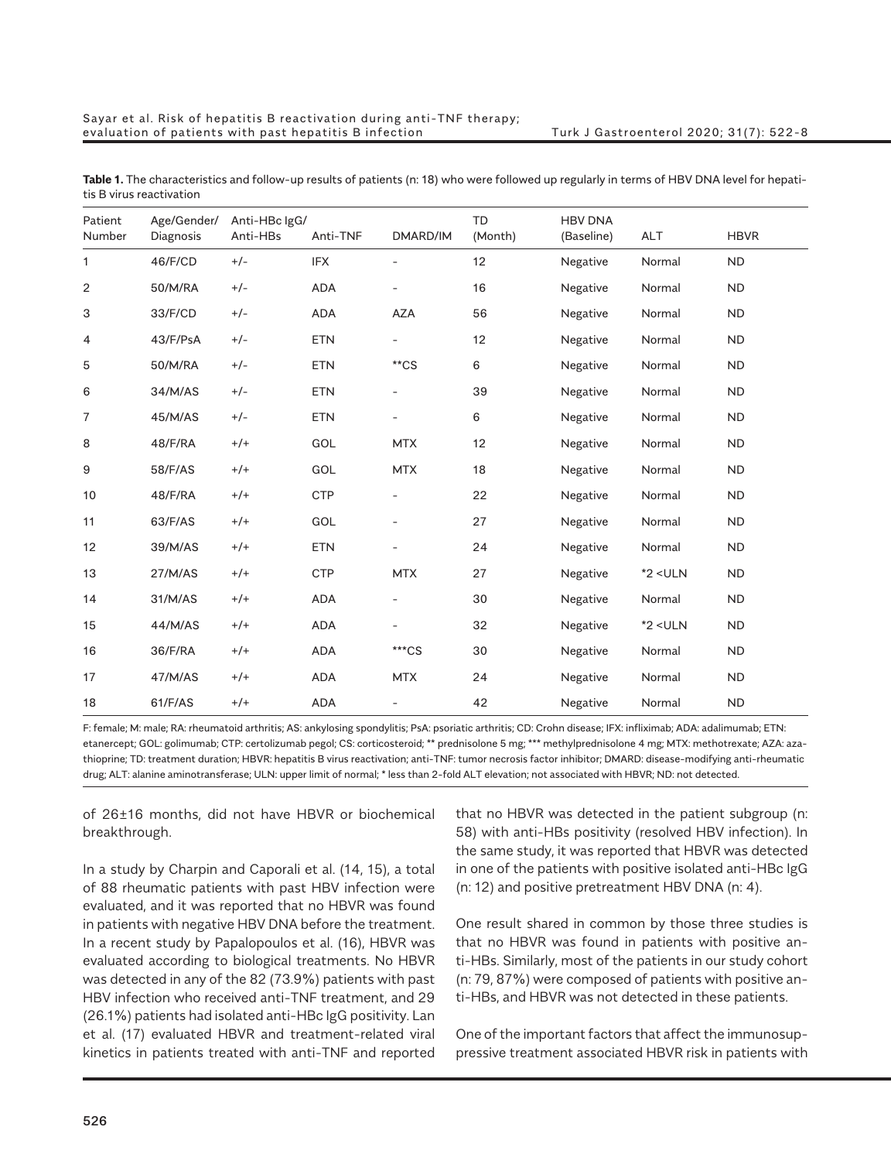| Patient<br>Number | Age/Gender/<br><b>Diagnosis</b> | Anti-HBc IgG/<br>Anti-HBs | Anti-TNF   | DMARD/IM                 | <b>TD</b><br>(Month) | <b>HBV DNA</b><br>(Baseline) | <b>ALT</b> | <b>HBVR</b> |
|-------------------|---------------------------------|---------------------------|------------|--------------------------|----------------------|------------------------------|------------|-------------|
| 1                 | 46/F/CD                         | $+/-$                     | <b>IFX</b> |                          | 12                   | Negative                     | Normal     | <b>ND</b>   |
| $\overline{c}$    | 50/M/RA                         | $+/-$                     | <b>ADA</b> |                          | 16                   | Negative                     | Normal     | ND          |
| 3                 | 33/F/CD                         | $+/-$                     | <b>ADA</b> | <b>AZA</b>               | 56                   | Negative                     | Normal     | <b>ND</b>   |
| 4                 | 43/F/PsA                        | $+/-$                     | <b>ETN</b> | $\overline{\phantom{0}}$ | 12                   | Negative                     | Normal     | <b>ND</b>   |
| 5                 | 50/M/RA                         | $+/-$                     | <b>ETN</b> | $*$ cs                   | 6                    | Negative                     | Normal     | <b>ND</b>   |
| 6                 | 34/M/AS                         | $+/-$                     | <b>ETN</b> | $\overline{\phantom{a}}$ | 39                   | Negative                     | Normal     | <b>ND</b>   |
| $\overline{7}$    | 45/M/AS                         | $+/-$                     | <b>ETN</b> | $\overline{\phantom{0}}$ | 6                    | Negative                     | Normal     | <b>ND</b>   |
| 8                 | 48/F/RA                         | $+/+$                     | GOL        | <b>MTX</b>               | 12                   | Negative                     | Normal     | <b>ND</b>   |
| 9                 | 58/F/AS                         | $+/+$                     | GOL        | <b>MTX</b>               | 18                   | Negative                     | Normal     | ND          |
| 10                | 48/F/RA                         | $+/+$                     | <b>CTP</b> | $\overline{\phantom{a}}$ | 22                   | Negative                     | Normal     | <b>ND</b>   |
| 11                | 63/F/AS                         | $^{+/+}$                  | GOL        | $\overline{\phantom{a}}$ | 27                   | Negative                     | Normal     | <b>ND</b>   |
| 12                | 39/M/AS                         | $^{+/+}$                  | <b>ETN</b> | -                        | 24                   | Negative                     | Normal     | <b>ND</b>   |
| 13                | 27/M/AS                         | $+/+$                     | <b>CTP</b> | <b>MTX</b>               | 27                   | Negative                     | $*2$ < ULN | <b>ND</b>   |
| 14                | 31/M/AS                         | $^{+/+}$                  | <b>ADA</b> | $\overline{\phantom{0}}$ | 30                   | Negative                     | Normal     | <b>ND</b>   |
| 15                | 44/M/AS                         | $+/+$                     | <b>ADA</b> | $\overline{\phantom{0}}$ | 32                   | Negative                     | $*2$ < ULN | <b>ND</b>   |
| 16                | 36/F/RA                         | $+/+$                     | <b>ADA</b> | $***CS$                  | 30                   | Negative                     | Normal     | ND          |
| 17                | 47/M/AS                         | $+/+$                     | <b>ADA</b> | <b>MTX</b>               | 24                   | Negative                     | Normal     | <b>ND</b>   |
| 18                | 61/F/AS                         | $+/+$                     | <b>ADA</b> | -                        | 42                   | Negative                     | Normal     | <b>ND</b>   |

**Table 1.** The characteristics and follow-up results of patients (n: 18) who were followed up regularly in terms of HBV DNA level for hepatitis B virus reactivation

F: female; M: male; RA: rheumatoid arthritis; AS: ankylosing spondylitis; PsA: psoriatic arthritis; CD: Crohn disease; IFX: infliximab; ADA: adalimumab; ETN: etanercept; GOL: golimumab; CTP: certolizumab pegol; CS: corticosteroid; \*\* prednisolone 5 mg; \*\*\* methylprednisolone 4 mg; MTX: methotrexate; AZA: azathioprine; TD: treatment duration; HBVR: hepatitis B virus reactivation; anti-TNF: tumor necrosis factor inhibitor; DMARD: disease-modifying anti-rheumatic drug; ALT: alanine aminotransferase; ULN: upper limit of normal; \* less than 2-fold ALT elevation; not associated with HBVR; ND: not detected.

of 26±16 months, did not have HBVR or biochemical breakthrough.

In a study by Charpin and Caporali et al. (14, 15), a total of 88 rheumatic patients with past HBV infection were evaluated, and it was reported that no HBVR was found in patients with negative HBV DNA before the treatment. In a recent study by Papalopoulos et al. (16), HBVR was evaluated according to biological treatments. No HBVR was detected in any of the 82 (73.9%) patients with past HBV infection who received anti-TNF treatment, and 29 (26.1%) patients had isolated anti-HBc IgG positivity. Lan et al. (17) evaluated HBVR and treatment-related viral kinetics in patients treated with anti-TNF and reported

that no HBVR was detected in the patient subgroup (n: 58) with anti-HBs positivity (resolved HBV infection). In the same study, it was reported that HBVR was detected in one of the patients with positive isolated anti-HBc IgG (n: 12) and positive pretreatment HBV DNA (n: 4).

One result shared in common by those three studies is that no HBVR was found in patients with positive anti-HBs. Similarly, most of the patients in our study cohort (n: 79, 87%) were composed of patients with positive anti-HBs, and HBVR was not detected in these patients.

One of the important factors that affect the immunosuppressive treatment associated HBVR risk in patients with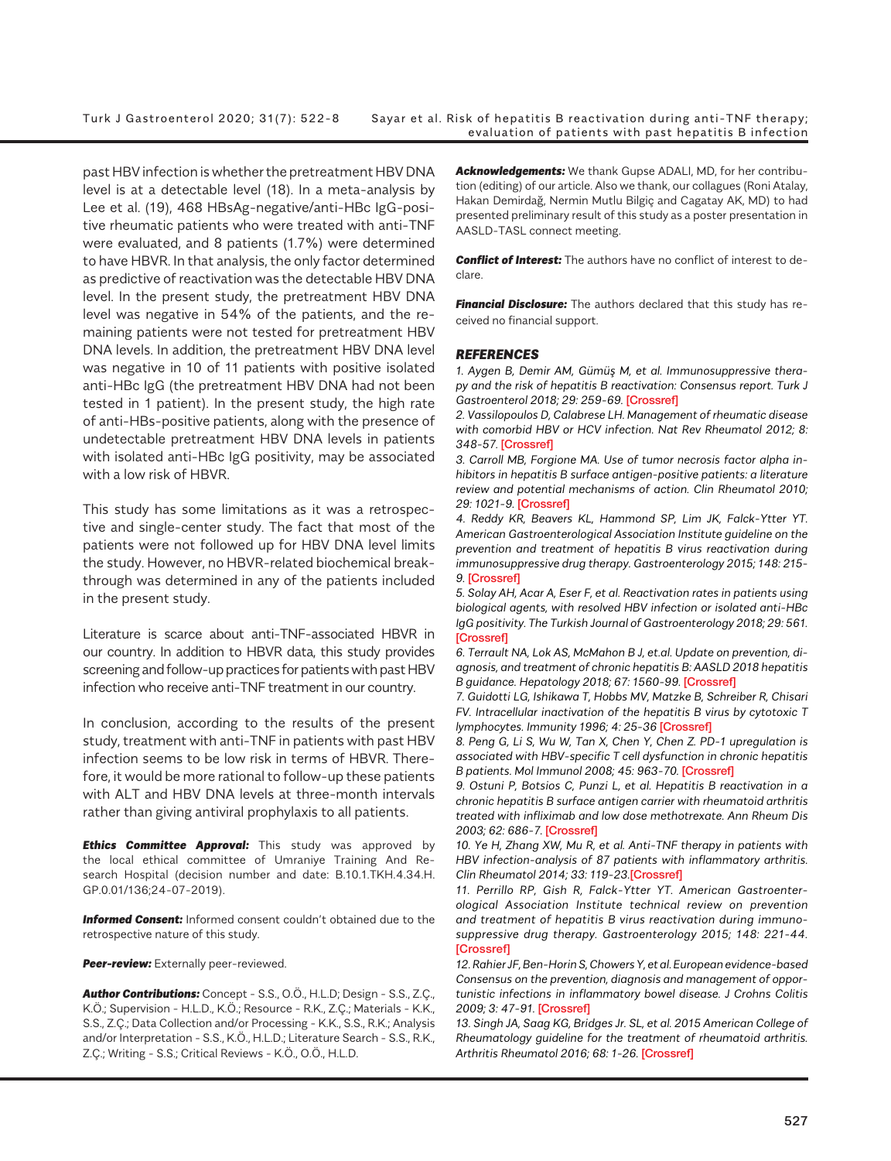past HBV infection is whether the pretreatment HBV DNA level is at a detectable level (18). In a meta-analysis by Lee et al. (19), 468 HBsAg-negative/anti-HBc IgG-positive rheumatic patients who were treated with anti-TNF were evaluated, and 8 patients (1.7%) were determined to have HBVR. In that analysis, the only factor determined as predictive of reactivation was the detectable HBV DNA level. In the present study, the pretreatment HBV DNA level was negative in 54% of the patients, and the remaining patients were not tested for pretreatment HBV DNA levels. In addition, the pretreatment HBV DNA level was negative in 10 of 11 patients with positive isolated anti-HBc IgG (the pretreatment HBV DNA had not been tested in 1 patient). In the present study, the high rate of anti-HBs-positive patients, along with the presence of undetectable pretreatment HBV DNA levels in patients with isolated anti-HBc IgG positivity, may be associated with a low risk of HBVR.

This study has some limitations as it was a retrospective and single-center study. The fact that most of the patients were not followed up for HBV DNA level limits the study. However, no HBVR-related biochemical breakthrough was determined in any of the patients included in the present study.

Literature is scarce about anti-TNF-associated HBVR in our country. In addition to HBVR data, this study provides screening and follow-up practices for patients with past HBV infection who receive anti-TNF treatment in our country.

In conclusion, according to the results of the present study, treatment with anti-TNF in patients with past HBV infection seems to be low risk in terms of HBVR. Therefore, it would be more rational to follow-up these patients with ALT and HBV DNA levels at three-month intervals rather than giving antiviral prophylaxis to all patients.

**Ethics Committee Approval:** This study was approved by the local ethical committee of Umraniye Training And Research Hospital (decision number and date: B.10.1.TKH.4.34.H. GP.0.01/136;24-07-2019).

*Informed Consent:* Informed consent couldn't obtained due to the retrospective nature of this study.

**Peer-review:** Externally peer-reviewed.

*Author Contributions:* Concept - S.S., O.Ö., H.L.D; Design - S.S., Z.Ç., K.Ö.; Supervision - H.L.D., K.Ö.; Resource - R.K., Z.Ç.; Materials - K.K., S.S., Z.Ç.; Data Collection and/or Processing - K.K., S.S., R.K.; Analysis and/or Interpretation - S.S., K.Ö., H.L.D.; Literature Search - S.S., R.K., Z.Ç.; Writing - S.S.; Critical Reviews - K.Ö., O.Ö., H.L.D.

*Acknowledgements:* We thank Gupse ADALI, MD, for her contribution (editing) of our article. Also we thank, our collagues (Roni Atalay, Hakan Demirdağ, Nermin Mutlu Bilgiç and Cagatay AK, MD) to had presented preliminary result of this study as a poster presentation in AASLD-TASL connect meeting.

**Conflict of Interest:** The authors have no conflict of interest to declare.

*Financial Disclosure:* The authors declared that this study has received no financial support.

#### *REFERENCES*

*1. Aygen B, Demir AM, Gümüş M, et al. Immunosuppressive therapy and the risk of hepatitis B reactivation: Consensus report. Turk J Gastroenterol 2018; 29: 259-69.* [\[Crossref\]](https://doi.org/10.5152/tjg.2018.18263)

*2. Vassilopoulos D, Calabrese LH. Management of rheumatic disease with comorbid HBV or HCV infection. Nat Rev Rheumatol 2012; 8: 348-57.* [\[Crossref\]](https://doi.org/10.1038/nrrheum.2012.63)

*3. Carroll MB, Forgione MA. Use of tumor necrosis factor alpha inhibitors in hepatitis B surface antigen-positive patients: a literature review and potential mechanisms of action. Clin Rheumatol 2010; 29: 1021-9.* [\[Crossref\]](https://doi.org/10.1007/s10067-010-1523-2)

*4. Reddy KR, Beavers KL, Hammond SP, Lim JK, Falck-Ytter YT. American Gastroenterological Association Institute guideline on the prevention and treatment of hepatitis B virus reactivation during immunosuppressive drug therapy. Gastroenterology 2015; 148: 215- 9.* [\[Crossref\]](https://doi.org/10.1053/j.gastro.2014.10.039)

*5. Solay AH, Acar A, Eser F, et al. Reactivation rates in patients using biological agents, with resolved HBV infection or isolated anti-HBc IgG positivity. The Turkish Journal of Gastroenterology 2018; 29: 561.*  [\[Crossref\]](https://doi.org/10.5152/tjg.2018.18032)

*6. Terrault NA, Lok AS, McMahon B J, et.al. Update on prevention, diagnosis, and treatment of chronic hepatitis B: AASLD 2018 hepatitis B guidance. Hepatology 2018; 67: 1560-99.* [\[Crossref\]](https://doi.org/10.1002/hep.29800)

*7. Guidotti LG, Ishikawa T, Hobbs MV, Matzke B, Schreiber R, Chisari FV. Intracellular inactivation of the hepatitis B virus by cytotoxic T lymphocytes. Immunity 1996; 4: 25-36* [\[Crossref\]](https://doi.org/10.1016/S1074-7613(00)80295-2)

*8. Peng G, Li S, Wu W, Tan X, Chen Y, Chen Z. PD-1 upregulation is associated with HBV-specific T cell dysfunction in chronic hepatitis B patients. Mol Immunol 2008; 45: 963-70.* [\[Crossref\]](https://doi.org/10.1016/j.molimm.2007.07.038)

*9. Ostuni P, Botsios C, Punzi L, et al. Hepatitis B reactivation in a chronic hepatitis B surface antigen carrier with rheumatoid arthritis treated with infliximab and low dose methotrexate. Ann Rheum Dis 2003; 62: 686-7.* [\[Crossref\]](https://doi.org/10.1136/ard.62.7.686)

*10. Ye H, Zhang XW, Mu R, et al. Anti-TNF therapy in patients with HBV infection-analysis of 87 patients with inflammatory arthritis. Clin Rheumatol 2014; 33: 119-23.*[\[Crossref\]](https://doi.org/10.1007/s10067-013-2385-1)

*11. Perrillo RP, Gish R, Falck-Ytter YT. American Gastroenterological Association Institute technical review on prevention and treatment of hepatitis B virus reactivation during immunosuppressive drug therapy. Gastroenterology 2015; 148: 221-44.*  **[\[Crossref\]](https://doi.org/10.1053/j.gastro.2014.10.038)** 

*12. Rahier JF, Ben-Horin S, Chowers Y, et al. European evidence-based Consensus on the prevention, diagnosis and management of opportunistic infections in inflammatory bowel disease. J Crohns Colitis 2009; 3: 47-91.* [\[Crossref\]](https://doi.org/10.1016/j.crohns.2009.02.010)

*13. Singh JA, Saag KG, Bridges Jr. SL, et al. 2015 American College of Rheumatology guideline for the treatment of rheumatoid arthritis. Arthritis Rheumatol 2016; 68: 1-26.* [\[Crossref\]](https://doi.org/10.1002/art.39480)